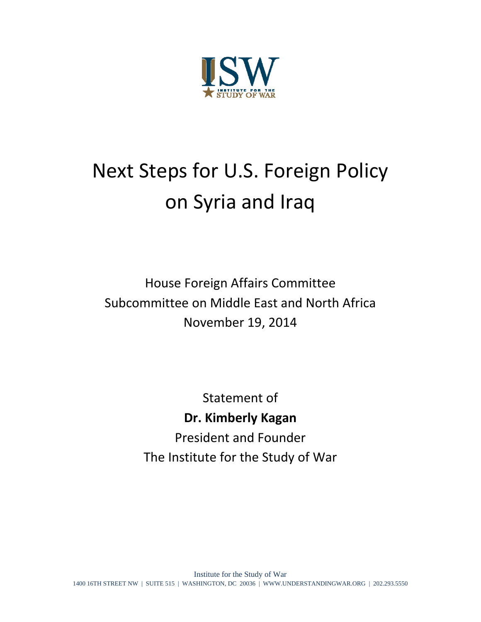

## Next Steps for U.S. Foreign Policy on Syria and Iraq

House Foreign Affairs Committee Subcommittee on Middle East and North Africa November 19, 2014

> Statement of **Dr. Kimberly Kagan** President and Founder The Institute for the Study of War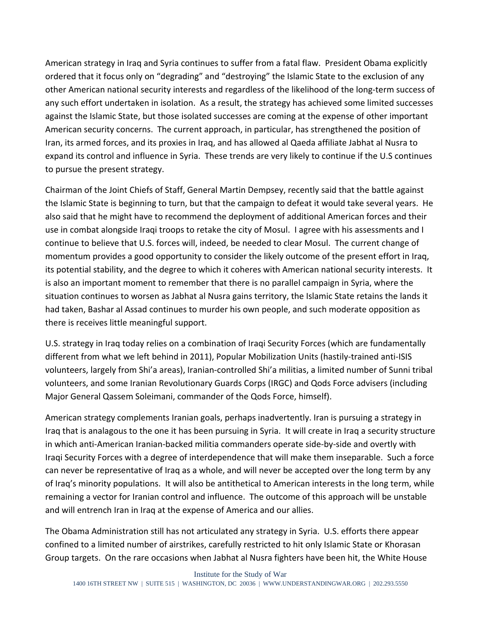American strategy in Iraq and Syria continues to suffer from a fatal flaw. President Obama explicitly ordered that it focus only on "degrading" and "destroying" the Islamic State to the exclusion of any other American national security interests and regardless of the likelihood of the long-term success of any such effort undertaken in isolation. As a result, the strategy has achieved some limited successes against the Islamic State, but those isolated successes are coming at the expense of other important American security concerns. The current approach, in particular, has strengthened the position of Iran, its armed forces, and its proxies in Iraq, and has allowed al Qaeda affiliate Jabhat al Nusra to expand its control and influence in Syria. These trends are very likely to continue if the U.S continues to pursue the present strategy.

Chairman of the Joint Chiefs of Staff, General Martin Dempsey, recently said that the battle against the Islamic State is beginning to turn, but that the campaign to defeat it would take several years. He also said that he might have to recommend the deployment of additional American forces and their use in combat alongside Iraqi troops to retake the city of Mosul. I agree with his assessments and I continue to believe that U.S. forces will, indeed, be needed to clear Mosul. The current change of momentum provides a good opportunity to consider the likely outcome of the present effort in Iraq, its potential stability, and the degree to which it coheres with American national security interests. It is also an important moment to remember that there is no parallel campaign in Syria, where the situation continues to worsen as Jabhat al Nusra gains territory, the Islamic State retains the lands it had taken, Bashar al Assad continues to murder his own people, and such moderate opposition as there is receives little meaningful support.

U.S. strategy in Iraq today relies on a combination of Iraqi Security Forces (which are fundamentally different from what we left behind in 2011), Popular Mobilization Units (hastily-trained anti-ISIS volunteers, largely from Shi'a areas), Iranian‐controlled Shi'a militias, a limited number of Sunni tribal volunteers, and some Iranian Revolutionary Guards Corps (IRGC) and Qods Force advisers (including Major General Qassem Soleimani, commander of the Qods Force, himself).

American strategy complements Iranian goals, perhaps inadvertently. Iran is pursuing a strategy in Iraq that is analagous to the one it has been pursuing in Syria. It will create in Iraq a security structure in which anti‐American Iranian‐backed militia commanders operate side‐by‐side and overtly with Iraqi Security Forces with a degree of interdependence that will make them inseparable. Such a force can never be representative of Iraq as a whole, and will never be accepted over the long term by any of Iraq's minority populations. It will also be antithetical to American interests in the long term, while remaining a vector for Iranian control and influence. The outcome of this approach will be unstable and will entrench Iran in Iraq at the expense of America and our allies.

The Obama Administration still has not articulated any strategy in Syria. U.S. efforts there appear confined to a limited number of airstrikes, carefully restricted to hit only Islamic State or Khorasan Group targets. On the rare occasions when Jabhat al Nusra fighters have been hit, the White House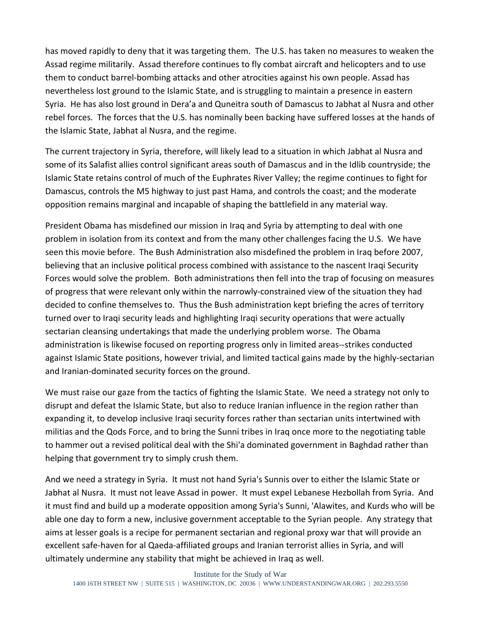has moved rapidly to deny that it was targeting them. The U.S. has taken no measures to weaken the Assad regime militarily. Assad therefore continues to fly combat aircraft and helicopters and to use them to conduct barrel‐bombing attacks and other atrocities against his own people. Assad has nevertheless lost ground to the Islamic State, and is struggling to maintain a presence in eastern Syria. He has also lost ground in Dera'a and Quneitra south of Damascus to Jabhat al Nusra and other rebel forces. The forces that the U.S. has nominally been backing have suffered losses at the hands of the Islamic State, Jabhat al Nusra, and the regime.

The current trajectory in Syria, therefore, will likely lead to a situation in which Jabhat al Nusra and some of its Salafist allies control significant areas south of Damascus and in the Idlib countryside; the Islamic State retains control of much of the Euphrates River Valley; the regime continues to fight for Damascus, controls the M5 highway to just past Hama, and controls the coast; and the moderate opposition remains marginal and incapable of shaping the battlefield in any material way.

President Obama has misdefined our mission in Iraq and Syria by attempting to deal with one problem in isolation from its context and from the many other challenges facing the U.S. We have seen this movie before. The Bush Administration also misdefined the problem in Iraq before 2007, believing that an inclusive political process combined with assistance to the nascent Iraqi Security Forces would solve the problem. Both administrations then fell into the trap of focusing on measures of progress that were relevant only within the narrowly‐constrained view of the situation they had decided to confine themselves to. Thus the Bush administration kept briefing the acres of territory turned over to Iraqi security leads and highlighting Iraqi security operations that were actually sectarian cleansing undertakings that made the underlying problem worse. The Obama administration is likewise focused on reporting progress only in limited areas‐‐strikes conducted against Islamic State positions, however trivial, and limited tactical gains made by the highly‐sectarian and Iranian‐dominated security forces on the ground.

We must raise our gaze from the tactics of fighting the Islamic State. We need a strategy not only to disrupt and defeat the Islamic State, but also to reduce Iranian influence in the region rather than expanding it, to develop inclusive Iraqi security forces rather than sectarian units intertwined with militias and the Qods Force, and to bring the Sunni tribes in Iraq once more to the negotiating table to hammer out a revised political deal with the Shi'a dominated government in Baghdad rather than helping that government try to simply crush them.

And we need a strategy in Syria. It must not hand Syria's Sunnis over to either the Islamic State or Jabhat al Nusra. It must not leave Assad in power. It must expel Lebanese Hezbollah from Syria. And it must find and build up a moderate opposition among Syria's Sunni, 'Alawites, and Kurds who will be able one day to form a new, inclusive government acceptable to the Syrian people. Any strategy that aims at lesser goals is a recipe for permanent sectarian and regional proxy war that will provide an excellent safe‐haven for al Qaeda‐affiliated groups and Iranian terrorist allies in Syria, and will ultimately undermine any stability that might be achieved in Iraq as well.